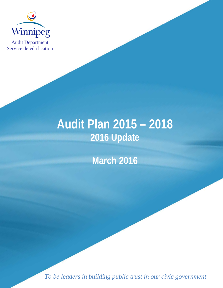

Audit Department Service de vérification

# **Audit Plan 2015 – 2018 2016 Update**

**March 2016**

*To be leaders in building public trust in our civic government*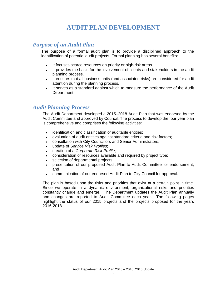## **AUDIT PLAN DEVELOPMENT**

#### *Purpose of an Audit Plan*

The purpose of a formal audit plan is to provide a disciplined approach to the identification of potential audit projects. Formal planning has several benefits:

- It focuses scarce resources on priority or high-risk areas.
- It provides the basis for the involvement of clients and stakeholders in the audit planning process.
- It ensures that all business units (and associated risks) are considered for audit attention during the planning process.
- It serves as a standard against which to measure the performance of the Audit Department.

### *Audit Planning Process*

The Audit Department developed a 2015–2018 Audit Plan that was endorsed by the Audit Committee and approved by Council. The process to develop the four year plan is comprehensive and comprises the following activities:

- identification and classification of auditable entities;
- evaluation of audit entities against standard criteria and risk factors;
- consultation with City Councillors and Senior Administrators;
- update of *Service Risk Profiles*;
- creation of a *Corporate Risk Profile*;
- consideration of resources available and required by project type;
- selection of departmental projects;
- presentation of our proposed Audit Plan to Audit Committee for endorsement; and
- communication of our endorsed Audit Plan to City Council for approval.

The plan is based upon the risks and priorities that exist at a certain point in time. Since we operate in a dynamic environment, organizational risks and priorities constantly change and emerge. The Department updates the Audit Plan annually and changes are reported to Audit Committee each year. The following pages highlight the status of our 2015 projects and the projects proposed for the years 2016-2018.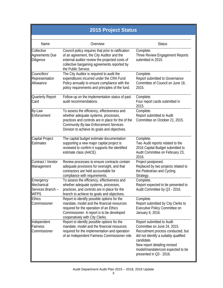| <b>2015 Project Status</b>                           |                                                                                                                                                                                                                                            |                                                                                                                                                                                                                                                       |  |  |  |
|------------------------------------------------------|--------------------------------------------------------------------------------------------------------------------------------------------------------------------------------------------------------------------------------------------|-------------------------------------------------------------------------------------------------------------------------------------------------------------------------------------------------------------------------------------------------------|--|--|--|
|                                                      |                                                                                                                                                                                                                                            |                                                                                                                                                                                                                                                       |  |  |  |
| Name                                                 | Overview                                                                                                                                                                                                                                   | <b>Status</b>                                                                                                                                                                                                                                         |  |  |  |
| Collective<br><b>Agreements Due</b><br>Diligence     | Council policy requires that prior to ratification<br>of an agreement, the City Auditor and the<br>external auditor review the projected costs of<br>collective bargaining agreements reported by<br>the Public Service.                   | Complete.<br>Three Review Engagement Reports<br>submitted in 2015.                                                                                                                                                                                    |  |  |  |
| Councillors'<br>Representation<br>Allowance          | The City Auditor is required to audit the<br>expenditures incurred under the CRA Fund<br>Policy annually to ensure compliance with the<br>policy requirements and principles of the fund.                                                  | Complete.<br>Report submitted to Governance<br>Committee of Council on June 18,<br>2015.                                                                                                                                                              |  |  |  |
| Quarterly Report<br>Card                             | Follow-up on the implementation status of past<br>audit recommendations.                                                                                                                                                                   | Complete.<br>Four report cards submitted in<br>2015.                                                                                                                                                                                                  |  |  |  |
| By-Law<br>Enforcement                                | To assess the efficiency, effectiveness and<br>whether adequate systems, processes,<br>practices and controls are in place for the of the<br><b>Community By-law Enforcement Services</b><br>Division to achieve its goals and objectives. | Complete.<br>Report submitted to Audit<br>Committee on October 21, 2015.                                                                                                                                                                              |  |  |  |
| Capital Project<br><b>Estimates</b>                  | The capital budget estimate documentation<br>supporting a new major capital project is<br>reviewed to confirm it supports the identified<br>estimate class (AACE).                                                                         | Complete.<br>Two Audit reports related to the<br>2016 Capital Budget submitted to<br>Audit Committee on February 23,<br>2016.                                                                                                                         |  |  |  |
| Contract / Vendor<br>Management                      | Review processes to ensure contracts contain<br>adequate provisions for oversight, and that<br>contractors are held accountable for<br>compliance with requirements.                                                                       | Project postponed.<br>Replaced by two projects related to<br>the Pedestrian and Cycling<br>Strategy.                                                                                                                                                  |  |  |  |
| Emergency<br>Mechanical<br>Services Branch -<br>WFPS | To assess the efficiency, effectiveness and<br>whether adequate systems, processes,<br>practices, and controls are in place for the<br>branch to achieve its goals and objectives.                                                         | Complete.<br>Report expected to be presented to<br>Audit Committee by Q3 - 2016.                                                                                                                                                                      |  |  |  |
| <b>Ethics</b><br>Commissioner                        | Report to identify possible options for the<br>mandate, model and the financial resources<br>required for the operation of an Ethics<br>Commissioner. A report is to be developed<br>cooperatively with City Clerks.                       | Complete.<br>Report submitted by City Clerks to<br>Executive Policy Committee on<br>January 6, 2016.                                                                                                                                                  |  |  |  |
| Independent<br>Fairness<br>Commissioner              | Report to identify possible options for the<br>mandate, model and the financial resources<br>required for the implementation and operation<br>of an Independent Fairness Commissioner role.                                                | Report submitted to Audit<br>Committee on June 24, 2015.<br>Recruitment process conducted, but<br>did not identify a suitably qualified<br>candidate.<br>New report detailing revised<br>model/mandate/cost expected to be<br>presented in Q3 - 2016. |  |  |  |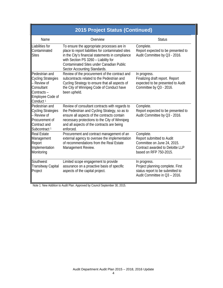| <b>2015 Project Status (Continued)</b>                                                                                             |                                                                                                                                                                                                                                                                                 |                                                                                                                                     |  |  |  |
|------------------------------------------------------------------------------------------------------------------------------------|---------------------------------------------------------------------------------------------------------------------------------------------------------------------------------------------------------------------------------------------------------------------------------|-------------------------------------------------------------------------------------------------------------------------------------|--|--|--|
| Name                                                                                                                               | Overview                                                                                                                                                                                                                                                                        | <b>Status</b>                                                                                                                       |  |  |  |
| Liabilities for<br>Contaminated<br>Sites                                                                                           | To ensure the appropriate processes are in<br>place to report liabilities for contaminated sites<br>in the City's financial statements in compliance<br>with Section PS 3260 - Liability for<br><b>Contaminated Sites under Canadian Public</b><br>Sector Accounting Standards. | Complete.<br>Report expected to be presented to<br>Audit Committee by Q3 - 2016.                                                    |  |  |  |
| Pedestrian and<br><b>Cycling Strategies</b><br>- Review of<br>Consultant<br>Contracts-<br>Employee Code of<br>Conduct <sup>1</sup> | Review of the procurement of the contract and<br>subcontracts related to the Pedestrian and<br>Cycling Strategy to ensure that all aspects of<br>the City of Winnipeg Code of Conduct have<br>been upheld.                                                                      | In progress.<br>Finalizing draft report. Report<br>expected to be presented to Audit<br>Committee by Q3 - 2016.                     |  |  |  |
| Pedestrian and<br><b>Cycling Strategies</b><br>- Review of<br>Procurement of<br>Contract and<br>Subcontract <sup>1</sup>           | Review of consultant contracts with regards to<br>the Pedestrian and Cycling Strategy, so as to<br>ensure all aspects of the contracts contain<br>necessary protections to the City of Winnipeg<br>and all aspects of the contracts are being<br>enforced.                      | Complete.<br>Report expected to be presented to<br>Audit Committee by Q3 - 2016.                                                    |  |  |  |
| <b>Real Estate</b><br>Management<br>Report<br>Implementation<br>Monitoring                                                         | Procurement and contract management of an<br>external agency to oversee the implementation<br>of recommendations from the Real Estate<br>Management Review.                                                                                                                     | Complete.<br>Report submitted to Audit<br>Committee on June 24, 2015.<br>Contract awarded to Deloitte LLP<br>based on RFP 750-2015. |  |  |  |
| Southwest<br><b>Transitway Capital</b><br>Project                                                                                  | Limited scope engagement to provide<br>assurance on a proactive basis of specific<br>aspects of the capital project.                                                                                                                                                            | In progress.<br>Project planning complete. First<br>status report to be submitted to<br>Audit Committee in Q3 - 2016.               |  |  |  |

Note 1: New Addition to Audit Plan. Approved by Council September 30, 2015.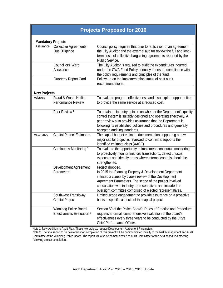| <b>Projects Proposed for 2016</b> |                                                                |                                                                                                                                                                                                                                                                                                                            |
|-----------------------------------|----------------------------------------------------------------|----------------------------------------------------------------------------------------------------------------------------------------------------------------------------------------------------------------------------------------------------------------------------------------------------------------------------|
| <b>Mandatory Projects</b>         |                                                                |                                                                                                                                                                                                                                                                                                                            |
| Assurance                         | <b>Collective Agreements</b><br>Due Diligence                  | Council policy requires that prior to ratification of an agreement,<br>the City Auditor and the external auditor review the full and long-<br>term costs of collective bargaining agreements reported by the<br>Public Service.                                                                                            |
|                                   | Councillors' Ward<br>Allowance                                 | The City Auditor is required to audit the expenditures incurred<br>under the CWA Fund Policy annually to ensure compliance with<br>the policy requirements and principles of the fund.                                                                                                                                     |
|                                   | Quarterly Report Card                                          | Follow-up on the implementation status of past audit<br>recommendations.                                                                                                                                                                                                                                                   |
| <b>New Projects</b>               |                                                                |                                                                                                                                                                                                                                                                                                                            |
| Advisory                          | Fraud & Waste Hotline<br>Performance Review                    | To evaluate program effectiveness and also explore opportunities<br>to provide the same service at a reduced cost.                                                                                                                                                                                                         |
|                                   | Peer Review <sup>1</sup>                                       | To obtain an industry opinion on whether the Department's quality<br>control system is suitably designed and operating effectively. A<br>peer review also provides assurance that the Department is<br>following its established policies and procedures and generally<br>accepted auditing standards.                     |
| Assurance                         | <b>Capital Project Estimates</b>                               | The capital budget estimate documentation supporting a new<br>major capital project is reviewed to confirm it supports the<br>identified estimate class (AACE).                                                                                                                                                            |
|                                   | Continuous Monitoring <sup>1</sup>                             | To evaluate the opportunity to implement continuous monitoring<br>to proactively monitor financial transactions, detect unusual<br>expenses and identify areas where internal controls should be<br>strengthened.                                                                                                          |
|                                   | Development Agreement<br>Parameters                            | Project dropped.<br>In 2015 the Planning Property & Development Department<br>initiated a clause by clause review of the Development<br>Agreement Parameters. The scope of the project involved<br>consultation with industry representatives and included an<br>oversight committee comprised of elected representatives. |
|                                   | Southwest Transitway<br>Capital Project                        | Limited scope engagement to provide assurance on a proactive<br>basis of specific aspects of the capital project.                                                                                                                                                                                                          |
|                                   | Winnipeg Police Board<br>Effectiveness Evaluation <sup>2</sup> | Section 50 of the Police Board's Rules of Practice and Procedure<br>requires a formal, comprehensive evaluation of the board's<br>effectiveness every three years to be conducted by the City's<br>Chief Performance Officer.                                                                                              |

Note 1: New Addition to Audit Plan. These two projects replace Development Agreement Parameters.

Note 2: The final report to be delivered upon completion of this project will be communicated initially to the Risk Management and Audit Committee of the Winnipeg Police Board. The report will also be communicated to Audit Committee for the next scheduled meeting following project completion.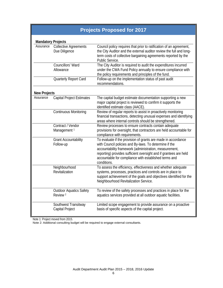| <b>Projects Proposed for 2017</b> |                                                       |                                                                                                                                                                                                                                                                                                                                |  |
|-----------------------------------|-------------------------------------------------------|--------------------------------------------------------------------------------------------------------------------------------------------------------------------------------------------------------------------------------------------------------------------------------------------------------------------------------|--|
| <b>Mandatory Projects</b>         |                                                       |                                                                                                                                                                                                                                                                                                                                |  |
| Assurance                         | <b>Collective Agreements</b><br>Due Diligence         | Council policy requires that prior to ratification of an agreement,<br>the City Auditor and the external auditor review the full and long-<br>term costs of collective bargaining agreements reported by the<br>Public Service.                                                                                                |  |
|                                   | Councillors' Ward<br>Allowance                        | The City Auditor is required to audit the expenditures incurred<br>under the CWA Fund Policy annually to ensure compliance with<br>the policy requirements and principles of the fund.                                                                                                                                         |  |
|                                   | Quarterly Report Card                                 | Follow-up on the implementation status of past audit<br>recommendations.                                                                                                                                                                                                                                                       |  |
| <b>New Projects</b>               |                                                       |                                                                                                                                                                                                                                                                                                                                |  |
| Assurance                         | <b>Capital Project Estimates</b>                      | The capital budget estimate documentation supporting a new<br>major capital project is reviewed to confirm it supports the<br>identified estimate class (AACE).                                                                                                                                                                |  |
|                                   | <b>Continuous Monitoring</b>                          | Review of regular reports to assist in proactively monitoring<br>financial transactions, detecting unusual expenses and identifying<br>areas where internal controls should be strengthened.                                                                                                                                   |  |
|                                   | Contract / Vendor<br>Management <sup>1</sup>          | Review processes to ensure contracts contain adequate<br>provisions for oversight, that contractors are held accountable for<br>compliance with requirements.                                                                                                                                                                  |  |
|                                   | <b>Grant Accountability</b><br>Follow-up              | To evaluate if the provision of grants are made in accordance<br>with Council policies and By-laws. To determine if the<br>accountability framework (administration, measurement,<br>reporting) provides sufficient oversight and if grantees are held<br>accountable for compliance with established terms and<br>conditions. |  |
|                                   | Neighbourhood<br>Revitalization                       | To assess the efficiency, effectiveness and whether adequate<br>systems, processes, practices and controls are in place to<br>support achievement of the goals and objectives identified for the<br>Neighbourhood Revitalization Service.                                                                                      |  |
|                                   | <b>Outdoor Aquatics Safety</b><br>Review <sup>2</sup> | To review of the safety processes and practices in place for the<br>aquatics services provided at all outdoor aquatic facilities.                                                                                                                                                                                              |  |
|                                   | Southwest Transitway<br>Capital Project               | Limited scope engagement to provide assurance on a proactive<br>basis of specific aspects of the capital project.                                                                                                                                                                                                              |  |

Note 1: Project moved from 2015.

Note 2: Additional consulting budget will be required to engage external consultants.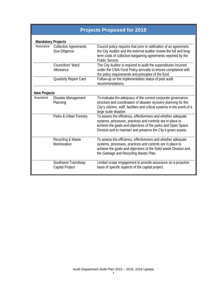| <b>Projects Proposed for 2018</b> |                                               |                                                                                                                                                                                                                                                              |  |  |
|-----------------------------------|-----------------------------------------------|--------------------------------------------------------------------------------------------------------------------------------------------------------------------------------------------------------------------------------------------------------------|--|--|
| <b>Mandatory Projects</b>         |                                               |                                                                                                                                                                                                                                                              |  |  |
| Assurance                         | <b>Collective Agreements</b><br>Due Diligence | Council policy requires that prior to ratification of an agreement,<br>the City Auditor and the external auditor review the full and long-<br>term costs of collective bargaining agreements reported by the<br>Public Service.                              |  |  |
|                                   | Councillors' Ward<br>Allowance                | The City Auditor is required to audit the expenditures incurred<br>under the CWA Fund Policy annually to ensure compliance with<br>the policy requirements and principles of the fund.                                                                       |  |  |
|                                   | Quarterly Report Card                         | Follow-up on the implementation status of past audit<br>recommendations.                                                                                                                                                                                     |  |  |
| <b>New Projects</b>               |                                               |                                                                                                                                                                                                                                                              |  |  |
| Assurance                         | Disaster Management<br>Planning               | To evaluate the adequacy of the current corporate governance<br>structure and coordination of disaster recovery planning for the<br>City's citizens, staff, facilities and critical systems in the event of a<br>large scale disaster.                       |  |  |
|                                   | Parks & Urban Forestry                        | To assess the efficiency, effectiveness and whether adequate<br>systems, processes, practices and controls are in place to<br>achieve the goals and objectives of the parks and Open Space<br>Division and to maintain and preserve the City's green assets. |  |  |
|                                   | Recycling & Waste<br>Minimization             | To assess the efficiency, effectiveness and whether adequate<br>systems, processes, practices and controls are in place to<br>achieve the goals and objectives of the Solid waste Division and<br>the Garbage and Recycling Master Plan.                     |  |  |
|                                   | Southwest Transitway<br>Capital Project       | Limited scope engagement to provide assurance on a proactive<br>basis of specific aspects of the capital project.                                                                                                                                            |  |  |